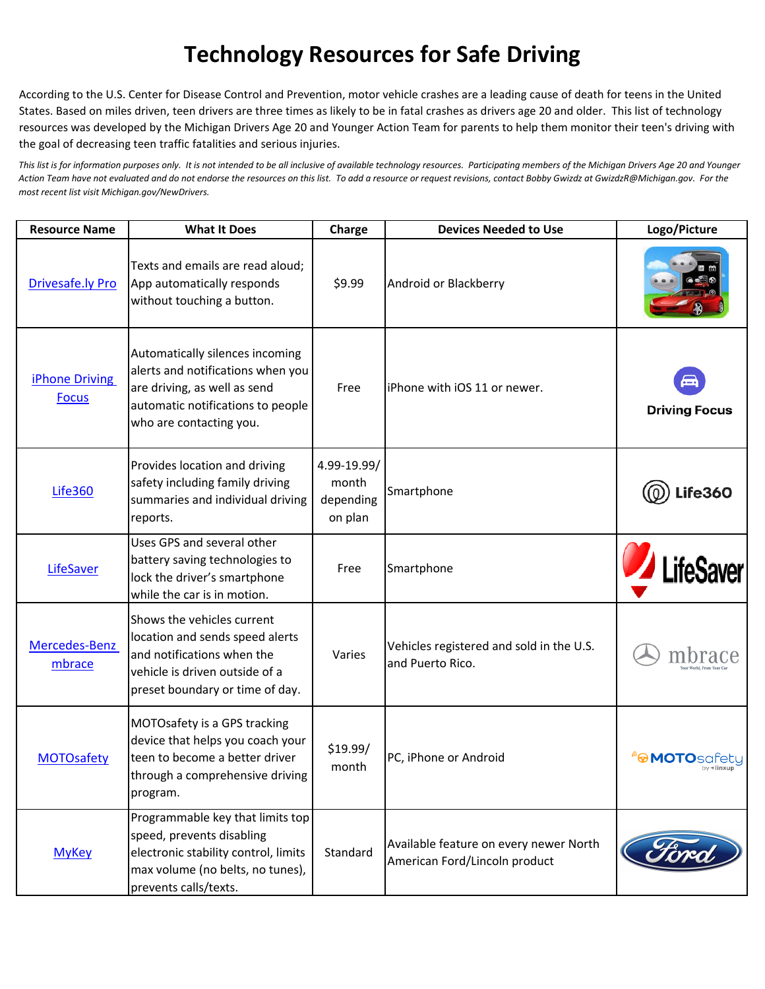## **Technology Resources for Safe Driving**

According to the U.S. Center for Disease Control and Prevention, motor vehicle crashes are a leading cause of death for teens in the United States. Based on miles driven, teen drivers are three times as likely to be in fatal crashes as drivers age 20 and older. This list of technology resources was developed by the Michigan Drivers Age 20 and Younger Action Team for parents to help them monitor their teen's driving with the goal of decreasing teen traffic fatalities and serious injuries.

*This list is for information purposes only. It is not intended to be all inclusive of available technology resources. Participating members of the Michigan Drivers Age 20 and Younger Action Team have not evaluated and do not endorse the resources on this list. To add a resource or request revisions, contact Bobby Gwizdz at GwizdzR@Michigan.gov. For the most recent list visit Michigan.gov/NewDrivers.*

| <b>Resource Name</b>                  | <b>What It Does</b>                                                                                                                                                  | Charge                                       | <b>Devices Needed to Use</b>                                            | Logo/Picture           |
|---------------------------------------|----------------------------------------------------------------------------------------------------------------------------------------------------------------------|----------------------------------------------|-------------------------------------------------------------------------|------------------------|
| Drivesafe.ly Pro                      | Texts and emails are read aloud:<br>App automatically responds<br>without touching a button.                                                                         | \$9.99                                       | Android or Blackberry                                                   |                        |
| <b>iPhone Driving</b><br><b>Focus</b> | Automatically silences incoming<br>alerts and notifications when you<br>are driving, as well as send<br>automatic notifications to people<br>who are contacting you. | Free                                         | iPhone with iOS 11 or newer.                                            | <b>Driving Focus</b>   |
| <b>Life360</b>                        | Provides location and driving<br>safety including family driving<br>summaries and individual driving<br>reports.                                                     | 4.99-19.99/<br>month<br>depending<br>on plan | Smartphone                                                              | <b>Life360</b>         |
| LifeSaver                             | Uses GPS and several other<br>battery saving technologies to<br>lock the driver's smartphone<br>while the car is in motion.                                          | Free                                         | Smartphone                                                              | / LifeSaver            |
| Mercedes-Benz<br>mbrace               | Shows the vehicles current<br>location and sends speed alerts<br>and notifications when the<br>vehicle is driven outside of a<br>preset boundary or time of day.     | Varies                                       | Vehicles registered and sold in the U.S.<br>and Puerto Rico.            |                        |
| <b>MOTOsafety</b>                     | MOTOsafety is a GPS tracking<br>device that helps you coach your<br>teen to become a better driver<br>through a comprehensive driving<br>program.                    | \$19.99/<br>month                            | PC, iPhone or Android                                                   | <b><i>A</i>MOTO</b> SC |
| <b>MyKey</b>                          | Programmable key that limits top<br>speed, prevents disabling<br>electronic stability control, limits<br>max volume (no belts, no tunes),<br>prevents calls/texts.   | Standard                                     | Available feature on every newer North<br>American Ford/Lincoln product |                        |